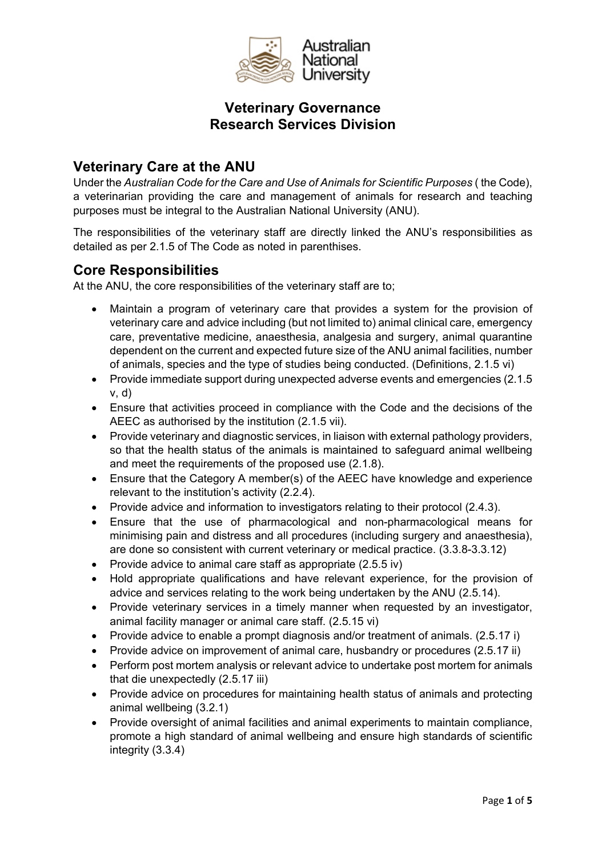

## **Veterinary Care at the ANU**

Under the *Australian Code for the Care and Use of Animals for Scientific Purposes* ( the Code), a veterinarian providing the care and management of animals for research and teaching purposes must be integral to the Australian National University (ANU).

The responsibilities of the veterinary staff are directly linked the ANU's responsibilities as detailed as per 2.1.5 of The Code as noted in parenthises.

#### **Core Responsibilities**

At the ANU, the core responsibilities of the veterinary staff are to;

- Maintain a program of veterinary care that provides a system for the provision of veterinary care and advice including (but not limited to) animal clinical care, emergency care, preventative medicine, anaesthesia, analgesia and surgery, animal quarantine dependent on the current and expected future size of the ANU animal facilities, number of animals, species and the type of studies being conducted. (Definitions, 2.1.5 vi)
- Provide immediate support during unexpected adverse events and emergencies (2.1.5 v, d)
- Ensure that activities proceed in compliance with the Code and the decisions of the AEEC as authorised by the institution (2.1.5 vii).
- Provide veterinary and diagnostic services, in liaison with external pathology providers, so that the health status of the animals is maintained to safeguard animal wellbeing and meet the requirements of the proposed use (2.1.8).
- Ensure that the Category A member(s) of the AEEC have knowledge and experience relevant to the institution's activity (2.2.4).
- Provide advice and information to investigators relating to their protocol (2.4.3).
- Ensure that the use of pharmacological and non-pharmacological means for minimising pain and distress and all procedures (including surgery and anaesthesia), are done so consistent with current veterinary or medical practice. (3.3.8-3.3.12)
- Provide advice to animal care staff as appropriate (2.5.5 iv)
- Hold appropriate qualifications and have relevant experience, for the provision of advice and services relating to the work being undertaken by the ANU (2.5.14).
- Provide veterinary services in a timely manner when requested by an investigator, animal facility manager or animal care staff. (2.5.15 vi)
- Provide advice to enable a prompt diagnosis and/or treatment of animals. (2.5.17 i)
- Provide advice on improvement of animal care, husbandry or procedures (2.5.17 ii)
- Perform post mortem analysis or relevant advice to undertake post mortem for animals that die unexpectedly (2.5.17 iii)
- Provide advice on procedures for maintaining health status of animals and protecting animal wellbeing (3.2.1)
- Provide oversight of animal facilities and animal experiments to maintain compliance, promote a high standard of animal wellbeing and ensure high standards of scientific integrity (3.3.4)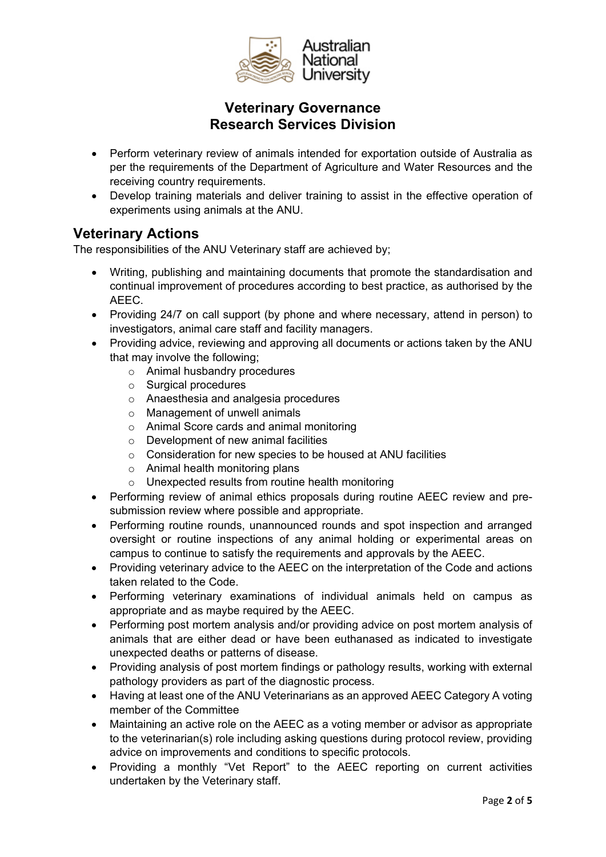

- Perform veterinary review of animals intended for exportation outside of Australia as per the requirements of the Department of Agriculture and Water Resources and the receiving country requirements.
- Develop training materials and deliver training to assist in the effective operation of experiments using animals at the ANU.

### **Veterinary Actions**

The responsibilities of the ANU Veterinary staff are achieved by;

- Writing, publishing and maintaining documents that promote the standardisation and continual improvement of procedures according to best practice, as authorised by the AEEC.
- Providing 24/7 on call support (by phone and where necessary, attend in person) to investigators, animal care staff and facility managers.
- Providing advice, reviewing and approving all documents or actions taken by the ANU that may involve the following;
	- o Animal husbandry procedures
	- o Surgical procedures
	- o Anaesthesia and analgesia procedures
	- o Management of unwell animals
	- o Animal Score cards and animal monitoring
	- o Development of new animal facilities
	- o Consideration for new species to be housed at ANU facilities
	- o Animal health monitoring plans
	- o Unexpected results from routine health monitoring
- Performing review of animal ethics proposals during routine AEEC review and presubmission review where possible and appropriate.
- Performing routine rounds, unannounced rounds and spot inspection and arranged oversight or routine inspections of any animal holding or experimental areas on campus to continue to satisfy the requirements and approvals by the AEEC.
- Providing veterinary advice to the AEEC on the interpretation of the Code and actions taken related to the Code.
- Performing veterinary examinations of individual animals held on campus as appropriate and as maybe required by the AEEC.
- Performing post mortem analysis and/or providing advice on post mortem analysis of animals that are either dead or have been euthanased as indicated to investigate unexpected deaths or patterns of disease.
- Providing analysis of post mortem findings or pathology results, working with external pathology providers as part of the diagnostic process.
- Having at least one of the ANU Veterinarians as an approved AEEC Category A voting member of the Committee
- Maintaining an active role on the AEEC as a voting member or advisor as appropriate to the veterinarian(s) role including asking questions during protocol review, providing advice on improvements and conditions to specific protocols.
- Providing a monthly "Vet Report" to the AEEC reporting on current activities undertaken by the Veterinary staff.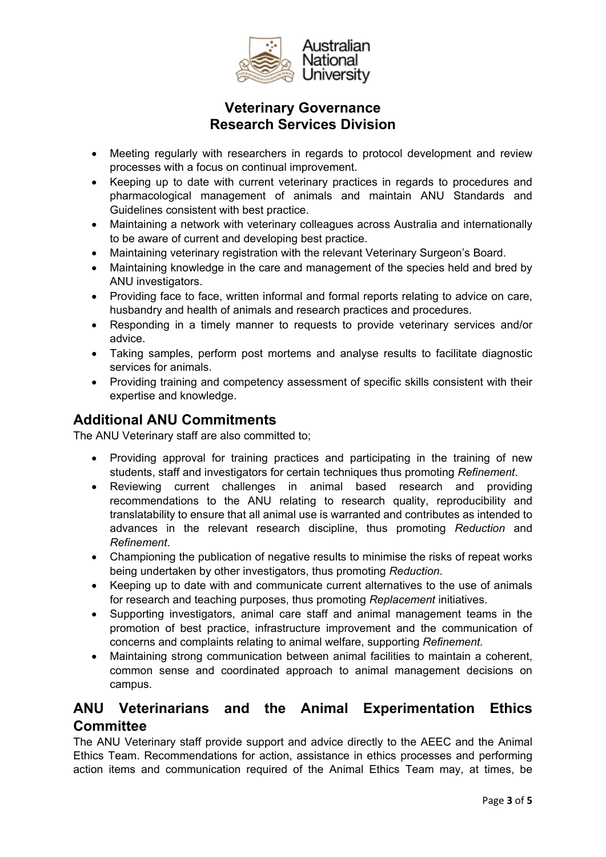

- Meeting regularly with researchers in regards to protocol development and review processes with a focus on continual improvement.
- Keeping up to date with current veterinary practices in regards to procedures and pharmacological management of animals and maintain ANU Standards and Guidelines consistent with best practice.
- Maintaining a network with veterinary colleagues across Australia and internationally to be aware of current and developing best practice.
- Maintaining veterinary registration with the relevant Veterinary Surgeon's Board.
- Maintaining knowledge in the care and management of the species held and bred by ANU investigators.
- Providing face to face, written informal and formal reports relating to advice on care, husbandry and health of animals and research practices and procedures.
- Responding in a timely manner to requests to provide veterinary services and/or advice.
- Taking samples, perform post mortems and analyse results to facilitate diagnostic services for animals.
- Providing training and competency assessment of specific skills consistent with their expertise and knowledge.

# **Additional ANU Commitments**

The ANU Veterinary staff are also committed to;

- Providing approval for training practices and participating in the training of new students, staff and investigators for certain techniques thus promoting *Refinement*.
- Reviewing current challenges in animal based research and providing recommendations to the ANU relating to research quality, reproducibility and translatability to ensure that all animal use is warranted and contributes as intended to advances in the relevant research discipline, thus promoting *Reduction* and *Refinement*.
- Championing the publication of negative results to minimise the risks of repeat works being undertaken by other investigators, thus promoting *Reduction*.
- Keeping up to date with and communicate current alternatives to the use of animals for research and teaching purposes, thus promoting *Replacement* initiatives.
- Supporting investigators, animal care staff and animal management teams in the promotion of best practice, infrastructure improvement and the communication of concerns and complaints relating to animal welfare, supporting *Refinement.*
- Maintaining strong communication between animal facilities to maintain a coherent, common sense and coordinated approach to animal management decisions on campus.

# **ANU Veterinarians and the Animal Experimentation Ethics Committee**

The ANU Veterinary staff provide support and advice directly to the AEEC and the Animal Ethics Team. Recommendations for action, assistance in ethics processes and performing action items and communication required of the Animal Ethics Team may, at times, be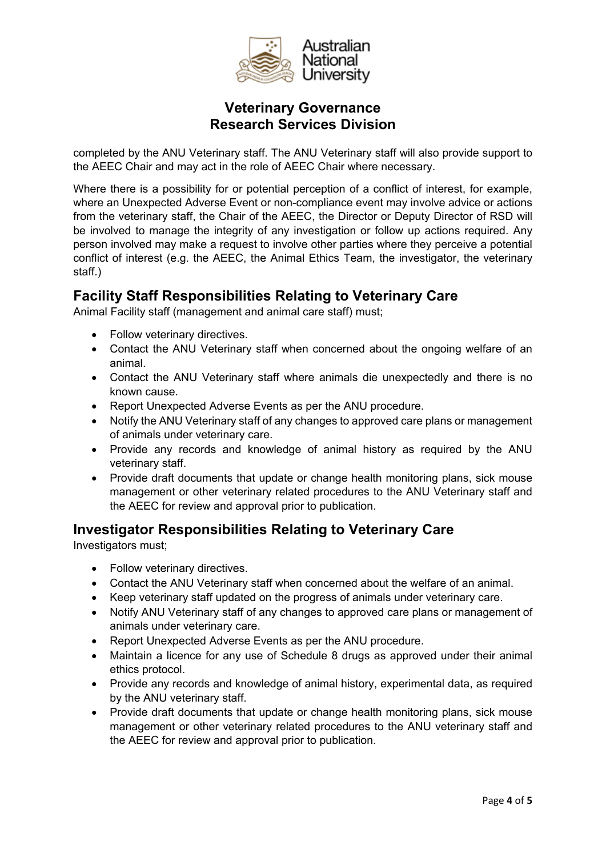

completed by the ANU Veterinary staff. The ANU Veterinary staff will also provide support to the AEEC Chair and may act in the role of AEEC Chair where necessary.

Where there is a possibility for or potential perception of a conflict of interest, for example, where an Unexpected Adverse Event or non-compliance event may involve advice or actions from the veterinary staff, the Chair of the AEEC, the Director or Deputy Director of RSD will be involved to manage the integrity of any investigation or follow up actions required. Any person involved may make a request to involve other parties where they perceive a potential conflict of interest (e.g. the AEEC, the Animal Ethics Team, the investigator, the veterinary staff.)

# **Facility Staff Responsibilities Relating to Veterinary Care**

Animal Facility staff (management and animal care staff) must;

- Follow veterinary directives.
- Contact the ANU Veterinary staff when concerned about the ongoing welfare of an animal.
- Contact the ANU Veterinary staff where animals die unexpectedly and there is no known cause.
- Report Unexpected Adverse Events as per the ANU procedure.
- Notify the ANU Veterinary staff of any changes to approved care plans or management of animals under veterinary care.
- Provide any records and knowledge of animal history as required by the ANU veterinary staff.
- Provide draft documents that update or change health monitoring plans, sick mouse management or other veterinary related procedures to the ANU Veterinary staff and the AEEC for review and approval prior to publication.

### **Investigator Responsibilities Relating to Veterinary Care**

Investigators must;

- Follow veterinary directives.
- Contact the ANU Veterinary staff when concerned about the welfare of an animal.
- Keep veterinary staff updated on the progress of animals under veterinary care.
- Notify ANU Veterinary staff of any changes to approved care plans or management of animals under veterinary care.
- Report Unexpected Adverse Events as per the ANU procedure.
- Maintain a licence for any use of Schedule 8 drugs as approved under their animal ethics protocol.
- Provide any records and knowledge of animal history, experimental data, as required by the ANU veterinary staff.
- Provide draft documents that update or change health monitoring plans, sick mouse management or other veterinary related procedures to the ANU veterinary staff and the AEEC for review and approval prior to publication.